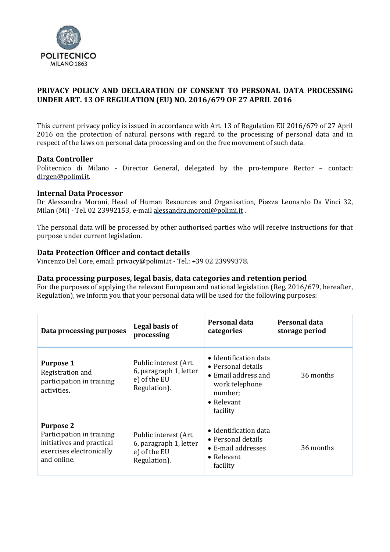

# **PRIVACY POLICY AND DECLARATION OF CONSENT TO PERSONAL DATA PROCESSING UNDER ART. 13 OF REGULATION (EU) NO. 2016/679 OF 27 APRIL 2016**

This current privacy policy is issued in accordance with Art. 13 of Regulation EU 2016/679 of 27 April 2016 on the protection of natural persons with regard to the processing of personal data and in respect of the laws on personal data processing and on the free movement of such data.

## **Data Controller**

Politecnico di Milano - Director General, delegated by the pro-tempore Rector – contact: [dirgen@polimi.it.](mailto:dirgen@polimi.it)

## **Internal Data Processor**

Dr Alessandra Moroni, Head of Human Resources and Organisation, Piazza Leonardo Da Vinci 32, Milan (MI) - Tel. 02 23992153, e-mai[l alessandra.moroni@polimi.it](mailto:alessandra.moroni@polimi.it) .

The personal data will be processed by other authorised parties who will receive instructions for that purpose under current legislation.

## **Data Protection Officer and contact details**

Vincenzo Del Core, email: [privacy@polimi.it -](mailto:privacy@polmi.it) Tel.: +39 02 23999378.

## **Data processing purposes, legal basis, data categories and retention period**

For the purposes of applying the relevant European and national legislation (Reg. 2016/679, hereafter, Regulation), we inform you that your personal data will be used for the following purposes:

| Data processing purposes                                                                                              | Legal basis of<br>processing                                                    | Personal data<br>categories                                                                                                                       | Personal data<br>storage period |
|-----------------------------------------------------------------------------------------------------------------------|---------------------------------------------------------------------------------|---------------------------------------------------------------------------------------------------------------------------------------------------|---------------------------------|
| <b>Purpose 1</b><br>Registration and<br>participation in training<br>activities.                                      | Public interest (Art.<br>6, paragraph 1, letter<br>e) of the EU<br>Regulation). | $\bullet$ Identification data<br>$\bullet$ Personal details<br>• Email address and<br>work telephone<br>number;<br>$\bullet$ Relevant<br>facility | 36 months                       |
| <b>Purpose 2</b><br>Participation in training<br>initiatives and practical<br>exercises electronically<br>and online. | Public interest (Art.<br>6, paragraph 1, letter<br>e) of the EU<br>Regulation). | $\bullet$ Identification data<br>• Personal details<br>• E-mail addresses<br>$\bullet$ Relevant<br>facility                                       | 36 months                       |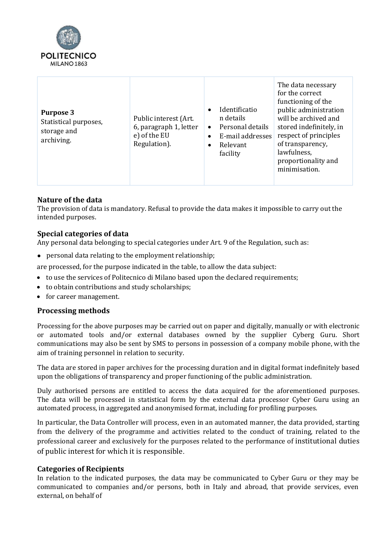

| <b>Purpose 3</b><br>Statistical purposes,<br>storage and<br>archiving. | Public interest (Art.<br>6, paragraph 1, letter<br>e) of the EU<br>Regulation). | Identificatio<br>$\bullet$<br>n details<br>Personal details<br>$\bullet$<br>E-mail addresses<br>$\bullet$<br>Relevant<br>$\bullet$<br>facility | The data necessary<br>for the correct<br>functioning of the<br>public administration<br>will be archived and<br>stored indefinitely, in<br>respect of principles<br>of transparency,<br>lawfulness,<br>proportionality and<br>minimisation. |
|------------------------------------------------------------------------|---------------------------------------------------------------------------------|------------------------------------------------------------------------------------------------------------------------------------------------|---------------------------------------------------------------------------------------------------------------------------------------------------------------------------------------------------------------------------------------------|
|------------------------------------------------------------------------|---------------------------------------------------------------------------------|------------------------------------------------------------------------------------------------------------------------------------------------|---------------------------------------------------------------------------------------------------------------------------------------------------------------------------------------------------------------------------------------------|

## **Nature of the data**

The provision of data is mandatory. Refusal to provide the data makes it impossible to carry out the intended purposes.

## **Special categories of data**

Any personal data belonging to special categories under Art. 9 of the Regulation, such as:

• personal data relating to the employment relationship;

are processed, for the purpose indicated in the table, to allow the data subject:

- to use the services of Politecnico di Milano based upon the declared requirements;
- to obtain contributions and study scholarships;
- for career management.

## **Processing methods**

Processing for the above purposes may be carried out on paper and digitally, manually or with electronic or automated tools and/or external databases owned by the supplier Cyberg Guru. Short communications may also be sent by SMS to persons in possession of a company mobile phone, with the aim of training personnel in relation to security.

The data are stored in paper archives for the processing duration and in digital format indefinitely based upon the obligations of transparency and proper functioning of the public administration.

Duly authorised persons are entitled to access the data acquired for the aforementioned purposes. The data will be processed in statistical form by the external data processor Cyber Guru using an automated process, in aggregated and anonymised format, including for profiling purposes.

In particular, the Data Controller will process, even in an automated manner, the data provided, starting from the delivery of the programme and activities related to the conduct of training, related to the professional career and exclusively for the purposes related to the performance of institutional duties of public interest for which it is responsible.

## **Categories of Recipients**

In relation to the indicated purposes, the data may be communicated to Cyber Guru or they may be communicated to companies and/or persons, both in Italy and abroad, that provide services, even external, on behalf of